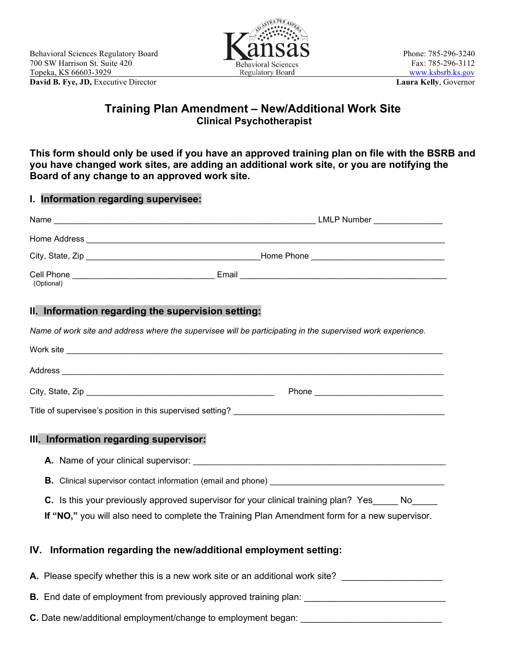

## **Training Plan Amendment – New/Additional Work Site Clinical Psychotherapist**

**This form should only be used if you have an approved training plan on file with the BSRB and you have changed work sites, are adding an additional work site, or you are notifying the Board of any change to an approved work site.**

| I. Information regarding supervisee:                                     |                                                                                                                                                                                          |
|--------------------------------------------------------------------------|------------------------------------------------------------------------------------------------------------------------------------------------------------------------------------------|
|                                                                          |                                                                                                                                                                                          |
|                                                                          |                                                                                                                                                                                          |
|                                                                          |                                                                                                                                                                                          |
| (Optional)                                                               |                                                                                                                                                                                          |
| II. Information regarding the supervision setting:                       |                                                                                                                                                                                          |
|                                                                          | Name of work site and address where the supervisee will be participating in the supervised work experience.                                                                              |
|                                                                          |                                                                                                                                                                                          |
|                                                                          |                                                                                                                                                                                          |
|                                                                          |                                                                                                                                                                                          |
|                                                                          |                                                                                                                                                                                          |
| III. Information regarding supervisor:                                   |                                                                                                                                                                                          |
|                                                                          |                                                                                                                                                                                          |
|                                                                          | <b>B.</b> Clinical supervisor contact information (email and phone)                                                                                                                      |
|                                                                          | C. Is this your previously approved supervisor for your clinical training plan? Yes No<br>If "NO," you will also need to complete the Training Plan Amendment form for a new supervisor. |
| IV. Information regarding the new/additional employment setting:         |                                                                                                                                                                                          |
|                                                                          | <b>A.</b> Please specify whether this is a new work site or an additional work site?                                                                                                     |
| <b>B.</b> End date of employment from previously approved training plan: |                                                                                                                                                                                          |
| C. Date new/additional employment/change to employment began:            |                                                                                                                                                                                          |